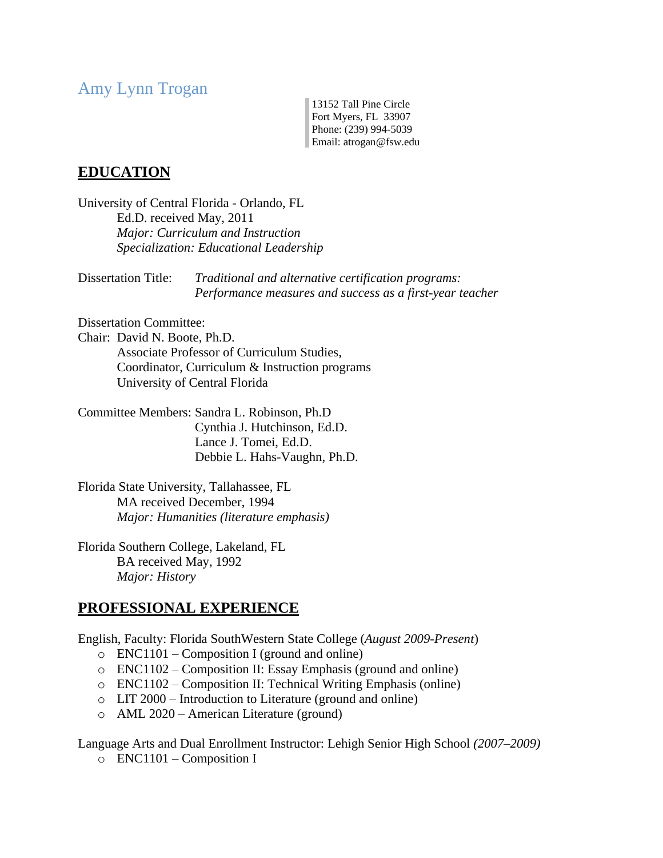# Amy Lynn Trogan

13152 Tall Pine Circle Fort Myers, FL 33907 Phone: (239) 994-5039 Email: atrogan@fsw.edu

# **EDUCATION**

University of Central Florida - Orlando, FL Ed.D. received May, 2011 *Major: Curriculum and Instruction Specialization: Educational Leadership*

Dissertation Title: *Traditional and alternative certification programs: Performance measures and success as a first-year teacher* 

Dissertation Committee:

Chair: David N. Boote, Ph.D. Associate Professor of Curriculum Studies, Coordinator, Curriculum & Instruction programs University of Central Florida

Committee Members: Sandra L. Robinson, Ph.D Cynthia J. Hutchinson, Ed.D. Lance J. Tomei, Ed.D. Debbie L. Hahs-Vaughn, Ph.D.

Florida State University, Tallahassee, FL MA received December, 1994 *Major: Humanities (literature emphasis)*

Florida Southern College, Lakeland, FL BA received May, 1992 *Major: History*

## **PROFESSIONAL EXPERIENCE**

English, Faculty: Florida SouthWestern State College (*August 2009-Present*)

- o ENC1101 Composition I (ground and online)
- o ENC1102 Composition II: Essay Emphasis (ground and online)
- o ENC1102 Composition II: Technical Writing Emphasis (online)
- o LIT 2000 Introduction to Literature (ground and online)
- o AML 2020 American Literature (ground)

Language Arts and Dual Enrollment Instructor: Lehigh Senior High School *(2007–2009)*

 $\circ$  ENC1101 – Composition I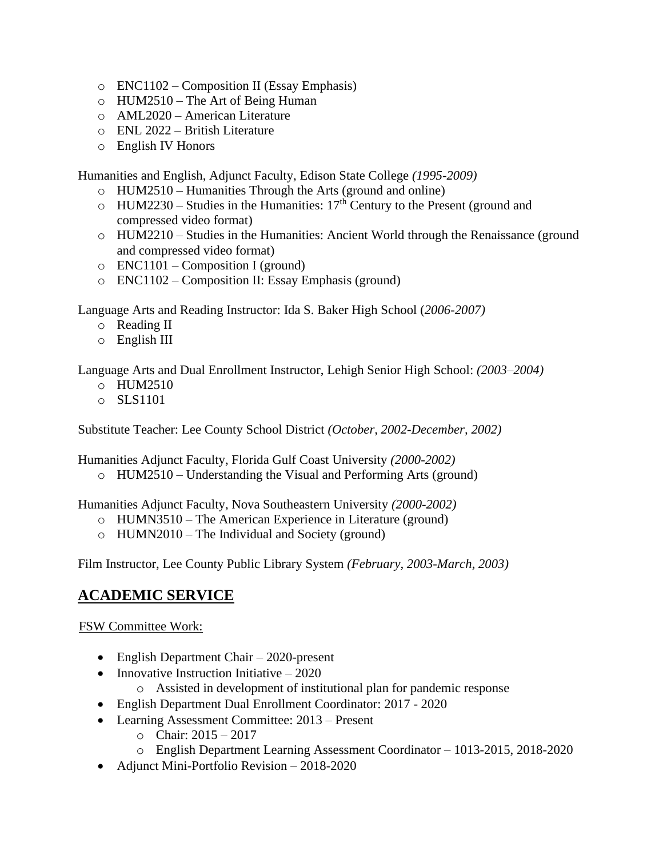- o ENC1102 Composition II (Essay Emphasis)
- o HUM2510 The Art of Being Human
- o AML2020 American Literature
- o ENL 2022 British Literature
- o English IV Honors

Humanities and English, Adjunct Faculty, Edison State College *(1995-2009)*

- o HUM2510 Humanities Through the Arts (ground and online)
- $\circ$  HUM2230 Studies in the Humanities: 17<sup>th</sup> Century to the Present (ground and compressed video format)
- o HUM2210 Studies in the Humanities: Ancient World through the Renaissance (ground and compressed video format)
- $\circ$  ENC1101 Composition I (ground)
- o ENC1102 Composition II: Essay Emphasis (ground)

Language Arts and Reading Instructor: Ida S. Baker High School (*2006-2007)*

- o Reading II
- o English III

Language Arts and Dual Enrollment Instructor, Lehigh Senior High School: *(2003–2004)*

- o HUM2510
- o SLS1101

Substitute Teacher: Lee County School District *(October, 2002-December, 2002)*

Humanities Adjunct Faculty, Florida Gulf Coast University *(2000-2002)*

o HUM2510 – Understanding the Visual and Performing Arts (ground)

Humanities Adjunct Faculty, Nova Southeastern University *(2000-2002)*

- o HUMN3510 The American Experience in Literature (ground)
- o HUMN2010 The Individual and Society (ground)

Film Instructor, Lee County Public Library System *(February, 2003-March, 2003)*

# **ACADEMIC SERVICE**

FSW Committee Work:

- English Department Chair 2020-present
- Innovative Instruction Initiative  $-2020$ 
	- o Assisted in development of institutional plan for pandemic response
- English Department Dual Enrollment Coordinator: 2017 2020
- Learning Assessment Committee: 2013 Present
	- o Chair: 2015 2017
	- o English Department Learning Assessment Coordinator 1013-2015, 2018-2020
- Adjunct Mini-Portfolio Revision 2018-2020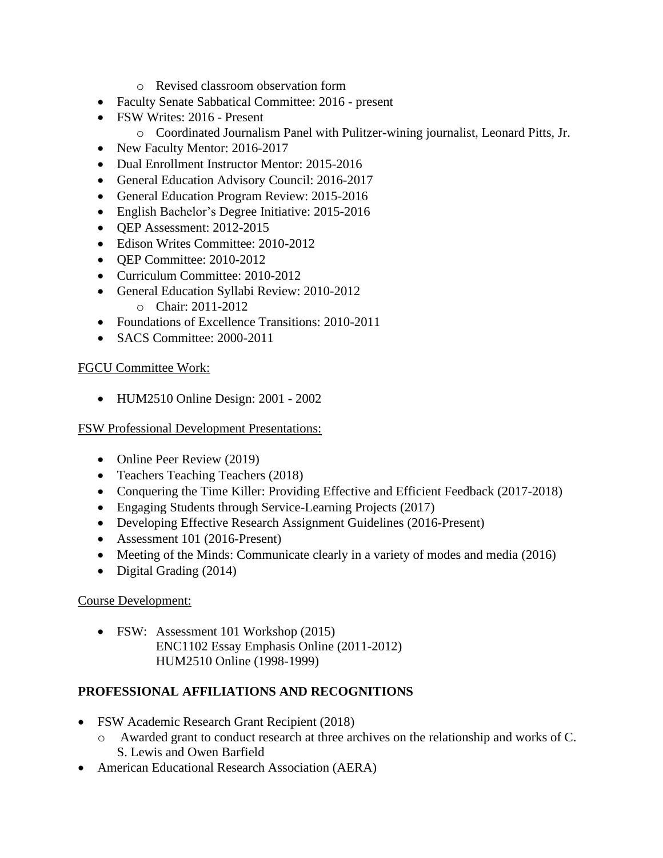- o Revised classroom observation form
- Faculty Senate Sabbatical Committee: 2016 present
- FSW Writes: 2016 Present
	- o Coordinated Journalism Panel with Pulitzer-wining journalist, Leonard Pitts, Jr.
- New Faculty Mentor: 2016-2017
- Dual Enrollment Instructor Mentor: 2015-2016
- General Education Advisory Council: 2016-2017
- General Education Program Review: 2015-2016
- English Bachelor's Degree Initiative: 2015-2016
- OEP Assessment: 2012-2015
- Edison Writes Committee: 2010-2012
- OEP Committee: 2010-2012
- Curriculum Committee: 2010-2012
- General Education Syllabi Review: 2010-2012 o Chair: 2011-2012
- Foundations of Excellence Transitions: 2010-2011
- SACS Committee: 2000-2011

## FGCU Committee Work:

• HUM2510 Online Design: 2001 - 2002

#### FSW Professional Development Presentations:

- Online Peer Review (2019)
- Teachers Teaching Teachers (2018)
- Conquering the Time Killer: Providing Effective and Efficient Feedback (2017-2018)
- Engaging Students through Service-Learning Projects (2017)
- Developing Effective Research Assignment Guidelines (2016-Present)
- Assessment 101 (2016-Present)
- Meeting of the Minds: Communicate clearly in a variety of modes and media (2016)
- Digital Grading (2014)

## Course Development:

• FSW: Assessment 101 Workshop (2015) ENC1102 Essay Emphasis Online (2011-2012) HUM2510 Online (1998-1999)

# **PROFESSIONAL AFFILIATIONS AND RECOGNITIONS**

- FSW Academic Research Grant Recipient (2018)
	- o Awarded grant to conduct research at three archives on the relationship and works of C. S. Lewis and Owen Barfield
- American Educational Research Association (AERA)